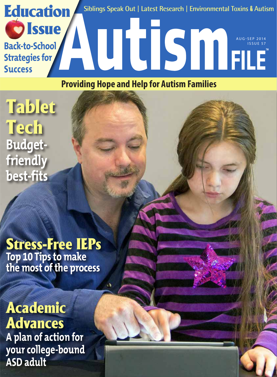

AUG-SEP 2014 ISSUE 57

**Providing Hope and Help for Autism Families**

Tablet **Tech Budgetfriendly best-fits**

**D** Issue

**Back-to-School** 

**Strategies for** 

**Success**

Stress-Free IEPs **Top 10 Tips to make the most of the process**

## Academic Advances **A plan of action for your college-bound ASD adult**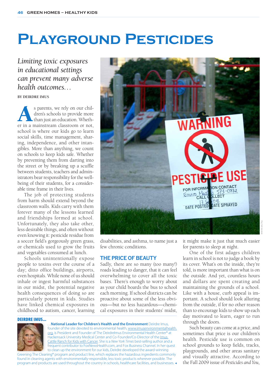# **Playground Pesticides**

*Limiting toxic exposures in educational settings can prevent many adverse health outcomes…*

#### **BY DEIRDRE IMUS**

s parents, we rely on our children's schools to provide more than just an education. Whether in a mainstream classroom or not, dren's schools to provide more than just an education. Whethschool is where our kids go to learn social skills, time management, sharing, independence, and other intangibles. More than anything, we count on schools to keep kids safe. Whether by preventing them from darting into the street or by breaking up a scuffle between students, teachers and administrators bear responsibility for the wellbeing of their students, for a considerable time frame in their lives.

The job of protecting students from harm should extend beyond the classroom walls. Kids carry with them forever many of the lessons learned and friendships formed at school. Unfortunately, they also take other, less desirable things, and often without even knowing it: pesticide residue from a soccer field's gorgeously green grass, or chemicals used to grow the fruits and vegetables consumed at lunch.

Schools unintentionally expose people to toxins over the course of a day; ditto office buildings, airports, even hospitals. While none of us should inhale or ingest harmful substances in our midst, the potential negative health consequences of doing so are particularly potent in kids. Studies have linked chemical exposures in childhood to autism, cancer, learning



disabilities, and asthma, to name just a few chronic conditions.

### **THE PRICE OF BEAUTY**

Sadly, there are so many (too many!) roads leading to danger, that it can feel overwhelming to cover all the toxic bases. There's enough to worry about as your child boards the bus to school each morning. If school districts can be proactive about some of the less obvious—but no less hazardous—chemical exposures in their students' midst,

#### DEIRDRE IMUS...



…**National Leader for Children's Health and the Environment** Deirdre Imus, founder of the site devoted to environmental health, www.imusenvironmentalhealth. org, is President and Founder of The Deirdrelmus Environmental Health Center® at Hackensack University Medical Center and Co-Founder/Co-Director of the Imus Cattle Ranch for Kids with Cancer. She is a *New York Times* best-selling author and a frequent contributor to FoxNewsHealth.com, and Fox Business Channel. In her quest to clean up the environment for our kids, Deirdre developed the award-winning

Greening The Cleaning® program and product line, which replaces the hazardous ingredients commonly found in cleaning agents with environmentally-responsible, less toxic products wherever possible. The program and products are used throughout the country in schools, healthcare facilities, and businesses. it might make it just that much easier for parents to sleep at night.

One of the first adages children learn in school is not to judge a book by its cover. What's on the inside, they're told, is more important than what is on the outside. And yet, countless hours and dollars are spent creating and maintaining the grounds of a school. Like with a house, curb appeal is important. A school should look alluring from the outside, if for no other reason than to encourage kids to show up each day motivated to learn, eager to run through the doors.

Such beauty can come at a price, and sometimes that price is our children's health. Pesticide use is common on school grounds to keep fields, tracks, playgrounds, and other areas sanitary and visually attractive. According to the Fall 2009 issue of *Pesticides and You,*